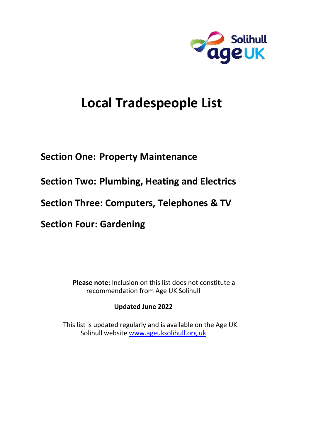

# **Local Tradespeople List**

## **Section One: Property Maintenance**

**Section Two: Plumbing, Heating and Electrics** 

**Section Three: Computers, Telephones & TV** 

**Section Four: Gardening**

 **Please note:** Inclusion on this list does not constitute a recommendation from Age UK Solihull

## **Updated June 2022**

 This list is updated regularly and is available on the Age UK Solihull website www.ageuksolihull.org.uk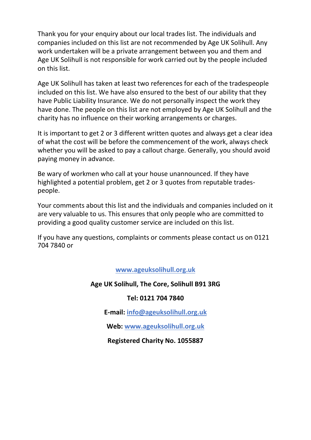Thank you for your enquiry about our local trades list. The individuals and companies included on this list are not recommended by Age UK Solihull. Any work undertaken will be a private arrangement between you and them and Age UK Solihull is not responsible for work carried out by the people included on this list.

Age UK Solihull has taken at least two references for each of the tradespeople included on this list. We have also ensured to the best of our ability that they have Public Liability Insurance. We do not personally inspect the work they have done. The people on this list are not employed by Age UK Solihull and the charity has no influence on their working arrangements or charges.

It is important to get 2 or 3 different written quotes and always get a clear idea of what the cost will be before the commencement of the work, always check whether you will be asked to pay a callout charge. Generally, you should avoid paying money in advance.

Be wary of workmen who call at your house unannounced. If they have highlighted a potential problem, get 2 or 3 quotes from reputable tradespeople.

Your comments about this list and the individuals and companies included on it are very valuable to us. This ensures that only people who are committed to providing a good quality customer service are included on this list.

If you have any questions, complaints or comments please contact us on 0121 704 7840 or

**www.ageuksolihull.org.uk**

## **Age UK Solihull, The Core, Solihull B91 3RG**

## **Tel: 0121 704 7840**

**E-mail: info@ageuksolihull.org.uk**

**Web: www.ageuksolihull.org.uk**

## **Registered Charity No. 1055887**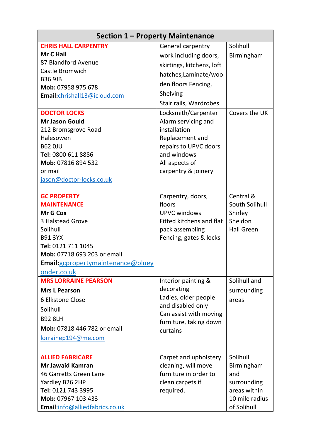| Section 1 – Property Maintenance         |                                      |                   |  |
|------------------------------------------|--------------------------------------|-------------------|--|
| <b>CHRIS HALL CARPENTRY</b>              | <b>General carpentry</b>             | Solihull          |  |
| Mr C Hall                                | work including doors,                | Birmingham        |  |
| 87 Blandford Avenue                      | skirtings, kitchens, loft            |                   |  |
| Castle Bromwich                          | hatches, Laminate/woo                |                   |  |
| <b>B36 9JB</b>                           | den floors Fencing,                  |                   |  |
| Mob: 07958 975 678                       |                                      |                   |  |
| Email:chrishall13@icloud.com             | Shelving                             |                   |  |
|                                          | Stair rails, Wardrobes               |                   |  |
| <b>DOCTOR LOCKS</b>                      | Locksmith/Carpenter                  | Covers the UK     |  |
| <b>Mr Jason Gould</b>                    | Alarm servicing and                  |                   |  |
| 212 Bromsgrove Road                      | installation                         |                   |  |
| Halesowen                                | Replacement and                      |                   |  |
| <b>B62 OJU</b>                           | repairs to UPVC doors<br>and windows |                   |  |
| Tel: 0800 611 8886<br>Mob: 07816 894 532 | All aspects of                       |                   |  |
| or mail                                  | carpentry & joinery                  |                   |  |
| jason@doctor-locks.co.uk                 |                                      |                   |  |
|                                          |                                      |                   |  |
| <b>GC PROPERTY</b>                       | Carpentry, doors,                    | Central &         |  |
| <b>MAINTENANCE</b>                       | floors                               | South Solihull    |  |
| <b>Mr G Cox</b>                          | <b>UPVC windows</b>                  | Shirley           |  |
| 3 Halstead Grove                         | <b>Fitted kitchens and flat</b>      | Sheldon           |  |
| Solihull                                 | pack assembling                      | <b>Hall Green</b> |  |
| <b>B91 3YX</b>                           | Fencing, gates & locks               |                   |  |
| Tel: 0121 711 1045                       |                                      |                   |  |
| Mob: 07718 693 203 or email              |                                      |                   |  |
| Email: gcpropertymaintenance@bluey       |                                      |                   |  |
| onder.co.uk                              |                                      |                   |  |
| <b>MRS LORRAINE PEARSON</b>              | Interior painting &                  | Solihull and      |  |
| <b>Mrs L Pearson</b>                     | decorating                           | surrounding       |  |
| 6 Elkstone Close                         | Ladies, older people                 | areas             |  |
| Solihull                                 | and disabled only                    |                   |  |
| <b>B92 8LH</b>                           | Can assist with moving               |                   |  |
| <b>Mob: 07818 446 782 or email</b>       | furniture, taking down<br>curtains   |                   |  |
| <u>lorrainep194@me.com</u>               |                                      |                   |  |
|                                          |                                      |                   |  |
| <b>ALLIED FABRICARE</b>                  | Carpet and upholstery                | Solihull          |  |
| <b>Mr Jawaid Kamran</b>                  | cleaning, will move                  | Birmingham        |  |
| 46 Garretts Green Lane                   | furniture in order to                | and               |  |
| Yardley B26 2HP                          | clean carpets if                     | surrounding       |  |
| Tel: 0121 743 3995                       | required.                            | areas within      |  |
| Mob: 07967 103 433                       |                                      | 10 mile radius    |  |
| Email:info@alliedfabrics.co.uk           |                                      | of Solihull       |  |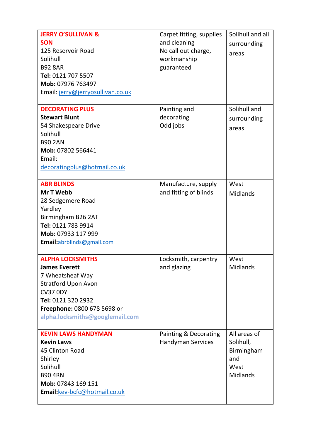| <b>JERRY O'SULLIVAN &amp;</b><br><b>SON</b><br>125 Reservoir Road<br>Solihull<br><b>B92 8AR</b><br>Tel: 0121 707 5507<br>Mob: 07976 763497<br>Email: jerry@jerryosullivan.co.uk                              | Carpet fitting, supplies<br>and cleaning<br>No call out charge,<br>workmanship<br>guaranteed | Solihull and all<br>surrounding<br>areas                                  |
|--------------------------------------------------------------------------------------------------------------------------------------------------------------------------------------------------------------|----------------------------------------------------------------------------------------------|---------------------------------------------------------------------------|
| <b>DECORATING PLUS</b><br><b>Stewart Blunt</b><br>54 Shakespeare Drive<br>Solihull<br><b>B90 2AN</b><br>Mob: 07802 566441<br>Email:<br>decoratingplus@hotmail.co.uk                                          | Painting and<br>decorating<br>Odd jobs                                                       | Solihull and<br>surrounding<br>areas                                      |
| <b>ABR BLINDS</b><br>Mr T Webb<br>28 Sedgemere Road<br>Yardley<br>Birmingham B26 2AT<br>Tel: 0121 783 9914<br>Mob: 07933 117 999<br>Email:abrblinds@gmail.com                                                | Manufacture, supply<br>and fitting of blinds                                                 | West<br>Midlands                                                          |
| <b>ALPHA LOCKSMITHS</b><br><b>James Everett</b><br>7 Wheatsheaf Way<br><b>Stratford Upon Avon</b><br><b>CV37 0DY</b><br>Tel: 0121 320 2932<br>Freephone: 0800 678 5698 or<br>alpha.locksmiths@googlemail.com | Locksmith, carpentry<br>and glazing                                                          | West<br>Midlands                                                          |
| <b>KEVIN LAWS HANDYMAN</b><br><b>Kevin Laws</b><br>45 Clinton Road<br>Shirley<br>Solihull<br><b>B90 4RN</b><br>Mob: 07843 169 151<br>Email:kev-bcfc@hotmail.co.uk                                            | Painting & Decorating<br><b>Handyman Services</b>                                            | All areas of<br>Solihull,<br>Birmingham<br>and<br>West<br><b>Midlands</b> |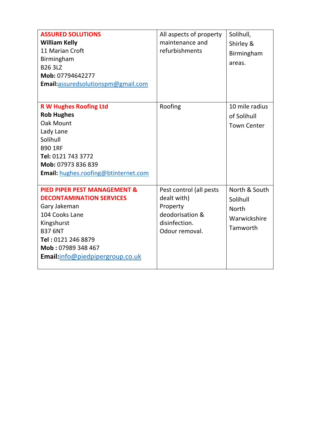| <b>ASSURED SOLUTIONS</b><br><b>William Kelly</b><br>11 Marian Croft<br>Birmingham<br><b>B26 3LZ</b><br>Mob: 07794642277<br>Email:assuredsolutionspm@gmail.com                                                               | All aspects of property<br>maintenance and<br>refurbishments                                             | Solihull,<br>Shirley &<br>Birmingham<br>areas.                        |
|-----------------------------------------------------------------------------------------------------------------------------------------------------------------------------------------------------------------------------|----------------------------------------------------------------------------------------------------------|-----------------------------------------------------------------------|
| <b>R W Hughes Roofing Ltd</b><br><b>Rob Hughes</b><br><b>Oak Mount</b><br>Lady Lane<br>Solihull<br><b>B90 1RF</b><br>Tel: 0121 743 3772<br>Mob: 07973 836 839<br>Email: hughes.roofing@btinternet.com                       | Roofing                                                                                                  | 10 mile radius<br>of Solihull<br><b>Town Center</b>                   |
| <b>PIED PIPER PEST MANAGEMENT &amp;</b><br><b>DECONTAMINATION SERVICES</b><br>Gary Jakeman<br>104 Cooks Lane<br>Kingshurst<br><b>B37 6NT</b><br>Tel: 0121 246 8879<br>Mob: 07989 348 467<br>Email:info@piedpipergroup.co.uk | Pest control (all pests<br>dealt with)<br>Property<br>deodorisation &<br>disinfection.<br>Odour removal. | North & South<br>Solihull<br><b>North</b><br>Warwickshire<br>Tamworth |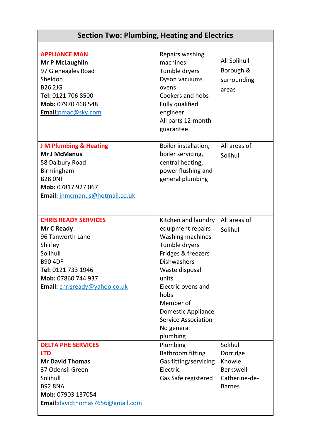| <b>Section Two: Plumbing, Heating and Electrics</b>                                                                                                                                 |                                                                                                                                                                                                                                                                                      |                                                                               |
|-------------------------------------------------------------------------------------------------------------------------------------------------------------------------------------|--------------------------------------------------------------------------------------------------------------------------------------------------------------------------------------------------------------------------------------------------------------------------------------|-------------------------------------------------------------------------------|
| <b>APPLIANCE MAN</b><br><b>Mr P McLaughlin</b><br>97 Gleneagles Road<br>Sheldon<br><b>B26 2JG</b><br>Tel: 0121 706 8500<br>Mob: 07970 468 548<br>Email:pmac@sky.com                 | Repairs washing<br>machines<br>Tumble dryers<br>Dyson vacuums<br>ovens<br>Cookers and hobs<br><b>Fully qualified</b><br>engineer<br>All parts 12-month<br>guarantee                                                                                                                  | <b>All Solihull</b><br>Borough &<br>surrounding<br>areas                      |
| <b>J M Plumbing &amp; Heating</b><br><b>Mr J McManus</b><br>58 Dalbury Road<br>Birmingham<br><b>B28 ONF</b><br>Mob: 07817 927 067<br>Email: jnmcmanus@hotmail.co.uk                 | Boiler installation,<br>boiler servicing,<br>central heating,<br>power flushing and<br>general plumbing                                                                                                                                                                              | All areas of<br>Solihull                                                      |
| <b>CHRIS READY SERVICES</b><br>Mr C Ready<br>96 Tanworth Lane<br>Shirley<br>Solihull<br><b>B90 4DF</b><br>Tel: 0121 733 1946<br>Mob: 07860 744 937<br>Email: chrisready@yahoo.co.uk | Kitchen and laundry<br>equipment repairs<br><b>Washing machines</b><br>Tumble dryers<br>Fridges & freezers<br><b>Dishwashers</b><br>Waste disposal<br>units<br>Electric ovens and<br>hobs<br>Member of<br>Domestic Appliance<br><b>Service Association</b><br>No general<br>plumbing | All areas of<br>Solihull                                                      |
| <b>DELTA PHE SERVICES</b><br><b>LTD</b><br><b>Mr David Thomas</b><br>37 Odensil Green<br>Solihull<br><b>B92 8NA</b><br>Mob: 07903 137054<br>Email: davidthomas7656@gmail.com        | Plumbing<br><b>Bathroom fitting</b><br>Gas fitting/servicing<br>Electric<br>Gas Safe registered                                                                                                                                                                                      | Solihull<br>Dorridge<br>Knowle<br>Berkswell<br>Catherine-de-<br><b>Barnes</b> |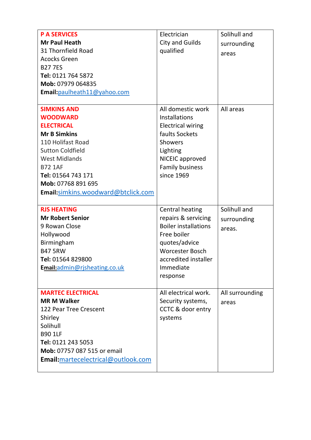| <b>P A SERVICES</b><br><b>Mr Paul Heath</b><br>31 Thornfield Road<br><b>Acocks Green</b><br><b>B277ES</b><br>Tel: 0121 764 5872<br>Mob: 07979 064835<br>Email: paulheath11@yahoo.com                                                                          | Electrician<br><b>City and Guilds</b><br>qualified                                                                                                                                      | Solihull and<br>surrounding<br>areas  |
|---------------------------------------------------------------------------------------------------------------------------------------------------------------------------------------------------------------------------------------------------------------|-----------------------------------------------------------------------------------------------------------------------------------------------------------------------------------------|---------------------------------------|
| <b>SIMKINS AND</b><br><b>WOODWARD</b><br><b>ELECTRICAL</b><br><b>Mr B Simkins</b><br>110 Holifast Road<br><b>Sutton Coldfield</b><br><b>West Midlands</b><br><b>B72 1AF</b><br>Tel: 01564 743 171<br>Mob: 07768 891 695<br>Email:simkins.woodward@btclick.com | All domestic work<br>Installations<br><b>Electrical wiring</b><br>faults Sockets<br><b>Showers</b><br>Lighting<br>NICEIC approved<br><b>Family business</b><br>since 1969               | All areas                             |
| <b>RJS HEATING</b><br><b>Mr Robert Senior</b><br>9 Rowan Close<br>Hollywood<br>Birmingham<br><b>B47 5RW</b><br>Tel: 01564 829800<br>Email:admin@rjsheating.co.uk                                                                                              | <b>Central heating</b><br>repairs & servicing<br><b>Boiler installations</b><br>Free boiler<br>quotes/advice<br><b>Worcester Bosch</b><br>accredited installer<br>Immediate<br>response | Solihull and<br>surrounding<br>areas. |
| <b>MARTEC ELECTRICAL</b><br><b>MR M Walker</b><br>122 Pear Tree Crescent<br>Shirley<br>Solihull<br><b>B90 1LF</b><br>Tel: 0121 243 5053<br>Mob: 07757 087 515 or email<br>Email: martecelectrical@outlook.com                                                 | All electrical work.<br>Security systems,<br>CCTC & door entry<br>systems                                                                                                               | All surrounding<br>areas              |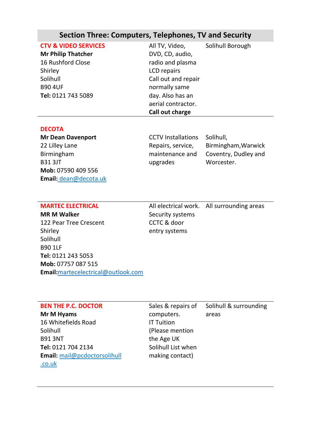## **Section Three: Computers, Telephones, TV and Security**

| All TV, Video,      | Solihull Borough |
|---------------------|------------------|
| DVD, CD, audio,     |                  |
| radio and plasma    |                  |
| LCD repairs         |                  |
| Call out and repair |                  |
| normally same       |                  |
| day. Also has an    |                  |
| aerial contractor.  |                  |
| Call out charge     |                  |
|                     |                  |

#### **DECOTA**

**Mr Dean Davenport** 22 Lilley Lane Birmingham B31 3JT **Mob:** 07590 409 556 **Email:** dean@decota.uk CCTV Installations Repairs, service, maintenance and upgrades

Solihull, Birmingham,Warwick Coventry, Dudley and Worcester.

#### **MARTEC ELECTRICAL**

**MR M Walker** 122 Pear Tree Crescent Shirley Solihull B90 1LF **Tel:** 0121 243 5053 **Mob:** 07757 087 515 **Email:**[martecelectrical@outlook.com](mailto:martecelectrical@outlook.com)

All electrical work. All surrounding areas Security systems CCTC & door entry systems

#### **BEN THE P.C. DOCTOR**

**Mr M Hyams** 16 Whitefields Road Solihull B91 3NT **Tel:** 0121 704 2134 **Email:** mail@pcdoctorsolihull .co.uk

Sales & repairs of computers. IT Tuition (Please mention the Age UK Solihull List when making contact) Solihull & surrounding areas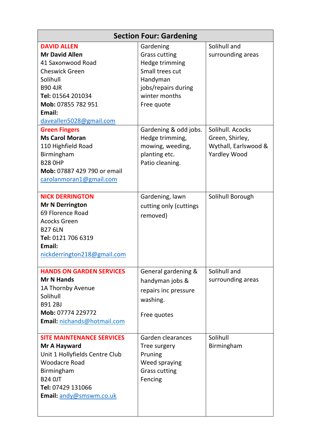| <b>Section Four: Gardening</b>              |                                   |                                   |  |
|---------------------------------------------|-----------------------------------|-----------------------------------|--|
| <b>DAVID ALLEN</b><br><b>Mr David Allen</b> | Gardening<br><b>Grass cutting</b> | Solihull and<br>surrounding areas |  |
| 41 Saxonwood Road                           | Hedge trimming                    |                                   |  |
| <b>Cheswick Green</b>                       | Small trees cut                   |                                   |  |
| Solihull                                    | Handyman                          |                                   |  |
| <b>B90 4JR</b>                              | jobs/repairs during               |                                   |  |
| Tel: 01564 201034                           | winter months                     |                                   |  |
| Mob: 07855 782 951                          | Free quote                        |                                   |  |
| Email:                                      |                                   |                                   |  |
| daveallen5028@gmail.com                     |                                   |                                   |  |
| <b>Green Fingers</b>                        | Gardening & odd jobs.             | Solihull, Acocks                  |  |
| <b>Ms Carol Moran</b>                       | Hedge trimming,                   | Green, Shirley,                   |  |
| 110 Highfield Road                          | mowing, weeding,                  | Wythall, Earlswood &              |  |
| Birmingham                                  | planting etc.                     | <b>Yardley Wood</b>               |  |
| <b>B28 OHP</b>                              | Patio cleaning.                   |                                   |  |
| <b>Mob:</b> 07887 429 790 or email          |                                   |                                   |  |
| carolanmoran1@gmail.com                     |                                   |                                   |  |
| <b>NICK DERRINGTON</b>                      | Gardening, lawn                   | Solihull Borough                  |  |
| <b>Mr N Derrington</b>                      | cutting only (cuttings            |                                   |  |
| 69 Florence Road                            | removed)                          |                                   |  |
| <b>Acocks Green</b>                         |                                   |                                   |  |
| <b>B27 6LN</b>                              |                                   |                                   |  |
| Tel: 0121 706 6319                          |                                   |                                   |  |
| Email:                                      |                                   |                                   |  |
| nickderrington218@gmail.com                 |                                   |                                   |  |
| <b>HANDS ON GARDEN SERVICES</b>             | General gardening &               | Solihull and                      |  |
| <b>Mr N Hands</b>                           | handyman jobs &                   | surrounding areas                 |  |
| 1A Thornby Avenue                           | repairs inc pressure              |                                   |  |
| Solihull<br><b>B91 2BJ</b>                  | washing.                          |                                   |  |
| Mob: 07774 229772                           | Free quotes                       |                                   |  |
| Email: nichands@hotmail.com                 |                                   |                                   |  |
| <b>SITE MAINTENANCE SERVICES</b>            | Garden clearances                 | Solihull                          |  |
| Mr A Hayward                                | Tree surgery                      | Birmingham                        |  |
| Unit 1 Hollyfields Centre Club              | Pruning                           |                                   |  |
| <b>Woodacre Road</b>                        | Weed spraying                     |                                   |  |
| Birmingham                                  | <b>Grass cutting</b>              |                                   |  |
| <b>B24 OJT</b>                              | Fencing                           |                                   |  |
| Tel: 07429 131066                           |                                   |                                   |  |
| Email: andy@smswm.co.uk                     |                                   |                                   |  |
|                                             |                                   |                                   |  |